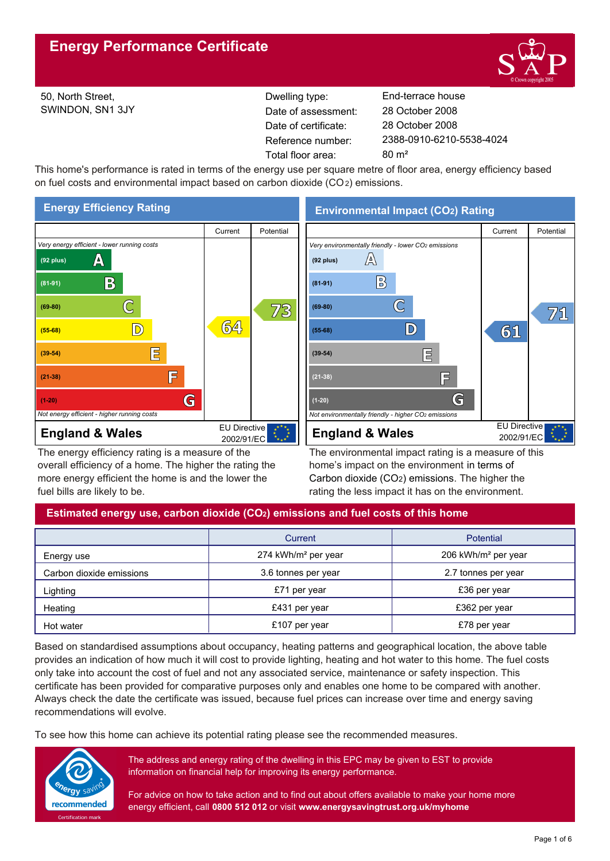

50, North Street, SWINDON, SN1 3JY Reference number: Dwelling type: End-terrace house Date of certificate: Total floor area: 80 m<sup>2</sup> Date of assessment:

2388-0910-6210-5538-4024 28 October 2008 28 October 2008

This home's performance is rated in terms of the energy use per square metre of floor area, energy efficiency based on fuel costs and environmental impact based on carbon dioxide (CO2) emissions.



The energy efficiency rating is a measure of the overall efficiency of a home. The higher the rating the more energy efficient the home is and the lower the fuel bills are likely to be.

**Environmental Impact (CO2) Rating**



The environmental impact rating is a measure of this home's impact on the environment in terms of Carbon dioxide (CO2) emissions. The higher the rating the less impact it has on the environment.

## **Estimated energy use, carbon dioxide (CO2) emissions and fuel costs of this home**

|                          | Current                         | <b>Potential</b>                |  |
|--------------------------|---------------------------------|---------------------------------|--|
| Energy use               | 274 kWh/m <sup>2</sup> per year | 206 kWh/m <sup>2</sup> per year |  |
| Carbon dioxide emissions | 3.6 tonnes per year             | 2.7 tonnes per year             |  |
| Lighting                 | £71 per year                    | £36 per year                    |  |
| Heating                  | £431 per year                   | £362 per year                   |  |
| Hot water                | £107 per year                   | £78 per year                    |  |

Based on standardised assumptions about occupancy, heating patterns and geographical location, the above table provides an indication of how much it will cost to provide lighting, heating and hot water to this home. The fuel costs only take into account the cost of fuel and not any associated service, maintenance or safety inspection. This certificate has been provided for comparative purposes only and enables one home to be compared with another. Always check the date the certificate was issued, because fuel prices can increase over time and energy saving recommendations will evolve.

To see how this home can achieve its potential rating please see the recommended measures.



The address and energy rating of the dwelling in this EPC may be given to EST to provide information on financial help for improving its energy performance.

For advice on how to take action and to find out about offers available to make your home more energy efficient, call **0800 512 012** or visit **www.energysavingtrust.org.uk/myhome**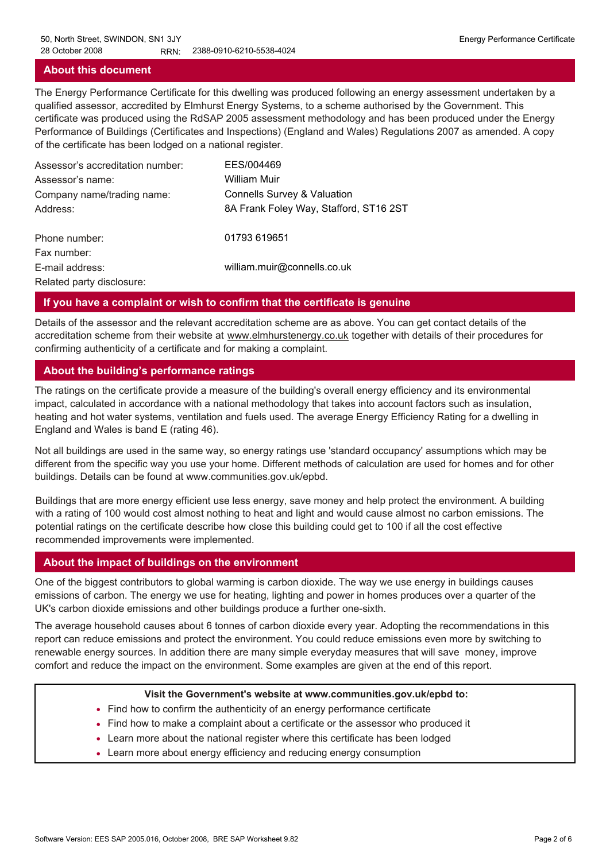#### **About this document**

The Energy Performance Certificate for this dwelling was produced following an energy assessment undertaken by a qualified assessor, accredited by Elmhurst Energy Systems, to a scheme authorised by the Government. This certificate was produced using the RdSAP 2005 assessment methodology and has been produced under the Energy Performance of Buildings (Certificates and Inspections) (England and Wales) Regulations 2007 as amended. A copy of the certificate has been lodged on a national register.

| Assessor's accreditation number: | EES/004469                             |
|----------------------------------|----------------------------------------|
| Assessor's name:                 | William Muir                           |
| Company name/trading name:       | Connells Survey & Valuation            |
| Address:                         | 8A Frank Foley Way, Stafford, ST16 2ST |
| Phone number:                    | 01793 619651                           |
| Fax number:                      |                                        |
| E-mail address:                  | william.muir@connells.co.uk            |
| Related party disclosure:        |                                        |

#### **If you have a complaint or wish to confirm that the certificate is genuine**

Details of the assessor and the relevant accreditation scheme are as above. You can get contact details of the accreditation scheme from their website at www.elmhurstenergy.co.uk together with details of their procedures for confirming authenticity of a certificate and for making a complaint.

## **About the building's performance ratings**

The ratings on the certificate provide a measure of the building's overall energy efficiency and its environmental impact, calculated in accordance with a national methodology that takes into account factors such as insulation, heating and hot water systems, ventilation and fuels used. The average Energy Efficiency Rating for a dwelling in England and Wales is band E (rating 46).

Not all buildings are used in the same way, so energy ratings use 'standard occupancy' assumptions which may be different from the specific way you use your home. Different methods of calculation are used for homes and for other buildings. Details can be found at www.communities.gov.uk/epbd.

Buildings that are more energy efficient use less energy, save money and help protect the environment. A building with a rating of 100 would cost almost nothing to heat and light and would cause almost no carbon emissions. The potential ratings on the certificate describe how close this building could get to 100 if all the cost effective recommended improvements were implemented.

#### **About the impact of buildings on the environment**

One of the biggest contributors to global warming is carbon dioxide. The way we use energy in buildings causes emissions of carbon. The energy we use for heating, lighting and power in homes produces over a quarter of the UK's carbon dioxide emissions and other buildings produce a further one-sixth.

The average household causes about 6 tonnes of carbon dioxide every year. Adopting the recommendations in this report can reduce emissions and protect the environment. You could reduce emissions even more by switching to renewable energy sources. In addition there are many simple everyday measures that will save money, improve comfort and reduce the impact on the environment. Some examples are given at the end of this report.

#### **Visit the Government's website at www.communities.gov.uk/epbd to:**

- Find how to confirm the authenticity of an energy performance certificate
- Find how to make a complaint about a certificate or the assessor who produced it •
- Learn more about the national register where this certificate has been lodged •
- Learn more about energy efficiency and reducing energy consumption •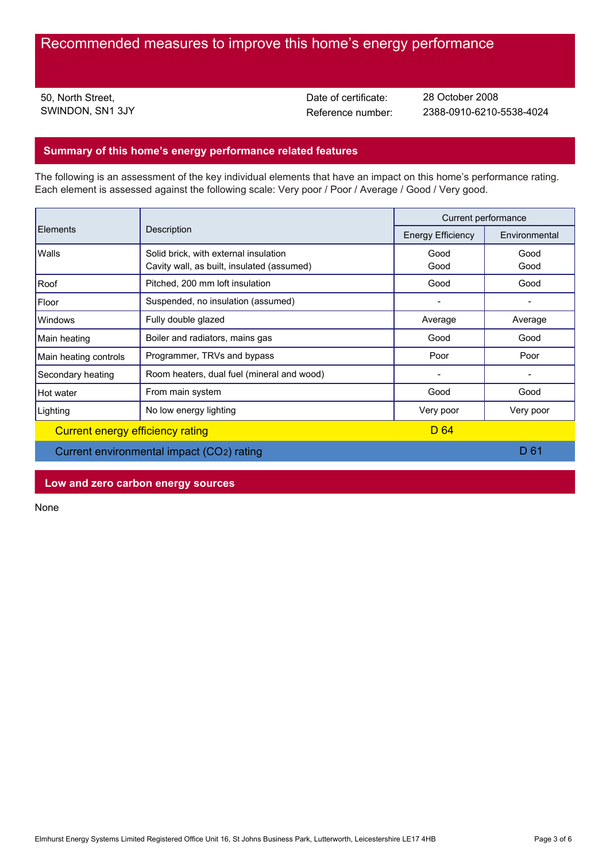# Recommended measures to improve this home's energy performance

50, North Street, SWINDON, SN1 3JY Date of certificate:

Reference number: 2388-0910-6210-5538-4024 28 October 2008

## **Summary of this home's energy performance related features**

The following is an assessment of the key individual elements that have an impact on this home's performance rating. Each element is assessed against the following scale: Very poor / Poor / Average / Good / Very good.

| <b>Elements</b>                           | Description                                                                         | Current performance      |               |
|-------------------------------------------|-------------------------------------------------------------------------------------|--------------------------|---------------|
|                                           |                                                                                     | <b>Energy Efficiency</b> | Environmental |
| Walls                                     | Solid brick, with external insulation<br>Cavity wall, as built, insulated (assumed) | Good<br>Good             | Good<br>Good  |
| Roof                                      | Pitched, 200 mm loft insulation                                                     | Good                     | Good          |
| Floor                                     | Suspended, no insulation (assumed)                                                  |                          |               |
| <b>Windows</b>                            | Fully double glazed                                                                 | Average                  | Average       |
| Main heating                              | Boiler and radiators, mains gas                                                     | Good                     | Good          |
| Main heating controls                     | Programmer, TRVs and bypass                                                         | Poor                     | Poor          |
| Secondary heating                         | Room heaters, dual fuel (mineral and wood)                                          |                          |               |
| Hot water                                 | From main system                                                                    | Good                     | Good          |
| Lighting                                  | No low energy lighting                                                              | Very poor                | Very poor     |
| Current energy efficiency rating          |                                                                                     | D 64                     |               |
| Current environmental impact (CO2) rating |                                                                                     |                          | D 61          |

## **Low and zero carbon energy sources**

None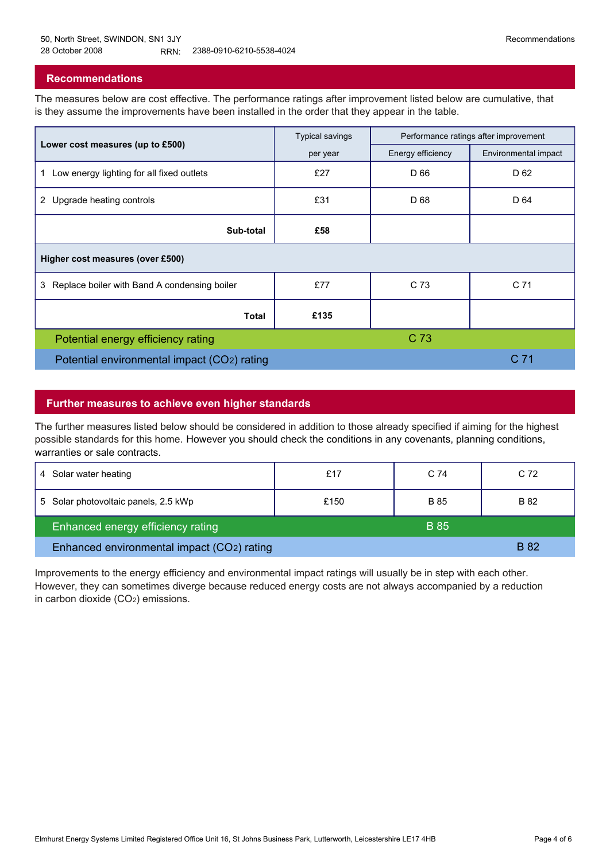## **Recommendations**

The measures below are cost effective. The performance ratings after improvement listed below are cumulative, that is they assume the improvements have been installed in the order that they appear in the table.

|                                                   | <b>Typical savings</b> | Performance ratings after improvement |                      |  |  |  |
|---------------------------------------------------|------------------------|---------------------------------------|----------------------|--|--|--|
| Lower cost measures (up to £500)                  | per year               | Energy efficiency                     | Environmental impact |  |  |  |
| Low energy lighting for all fixed outlets<br>1    | £27                    | D 66                                  | D 62                 |  |  |  |
| 2 Upgrade heating controls                        | £31                    | D 68                                  | D 64                 |  |  |  |
| Sub-total                                         | £58                    |                                       |                      |  |  |  |
| Higher cost measures (over £500)                  |                        |                                       |                      |  |  |  |
| Replace boiler with Band A condensing boiler<br>3 | £77                    | C 73                                  | C <sub>71</sub>      |  |  |  |
| Total                                             | £135                   |                                       |                      |  |  |  |
| Potential energy efficiency rating                |                        | C <sub>73</sub>                       |                      |  |  |  |
| Potential environmental impact (CO2) rating       |                        |                                       | C <sub>71</sub>      |  |  |  |

## **Further measures to achieve even higher standards**

The further measures listed below should be considered in addition to those already specified if aiming for the highest possible standards for this home. However you should check the conditions in any covenants, planning conditions, warranties or sale contracts.

| 4 Solar water heating                      | £17  | C 74        | C <sub>72</sub> |
|--------------------------------------------|------|-------------|-----------------|
| 5 Solar photovoltaic panels, 2.5 kWp       | £150 | <b>B</b> 85 | B 82            |
| Enhanced energy efficiency rating          |      | <b>B</b> 85 |                 |
| Enhanced environmental impact (CO2) rating |      |             | <b>B</b> 82     |

Improvements to the energy efficiency and environmental impact ratings will usually be in step with each other. However, they can sometimes diverge because reduced energy costs are not always accompanied by a reduction in carbon dioxide (CO2) emissions.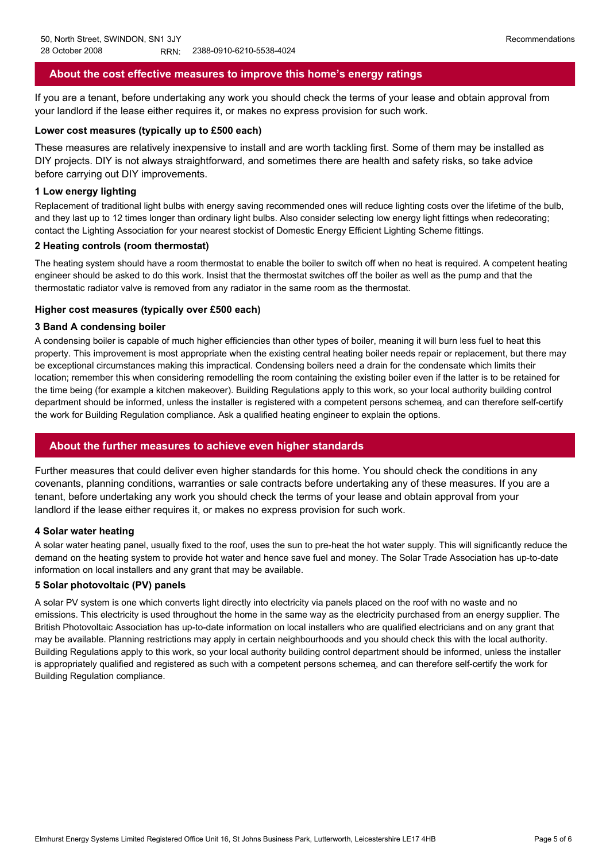If you are a tenant, before undertaking any work you should check the terms of your lease and obtain approval from your landlord if the lease either requires it, or makes no express provision for such work.

#### **Lower cost measures (typically up to £500 each)**

These measures are relatively inexpensive to install and are worth tackling first. Some of them may be installed as DIY projects. DIY is not always straightforward, and sometimes there are health and safety risks, so take advice before carrying out DIY improvements.

## **1 Low energy lighting**

Replacement of traditional light bulbs with energy saving recommended ones will reduce lighting costs over the lifetime of the bulb, and they last up to 12 times longer than ordinary light bulbs. Also consider selecting low energy light fittings when redecorating; contact the Lighting Association for your nearest stockist of Domestic Energy Efficient Lighting Scheme fittings.

#### **2 Heating controls (room thermostat)**

The heating system should have a room thermostat to enable the boiler to switch off when no heat is required. A competent heating engineer should be asked to do this work. Insist that the thermostat switches off the boiler as well as the pump and that the thermostatic radiator valve is removed from any radiator in the same room as the thermostat.

## **Higher cost measures (typically over £500 each)**

## **3 Band A condensing boiler**

A condensing boiler is capable of much higher efficiencies than other types of boiler, meaning it will burn less fuel to heat this property. This improvement is most appropriate when the existing central heating boiler needs repair or replacement, but there may be exceptional circumstances making this impractical. Condensing boilers need a drain for the condensate which limits their location; remember this when considering remodelling the room containing the existing boiler even if the latter is to be retained for the time being (for example a kitchen makeover). Building Regulations apply to this work, so your local authority building control department should be informed, unless the installer is registered with a competent persons schemeą, and can therefore self-certify the work for Building Regulation compliance. Ask a qualified heating engineer to explain the options.

## **About the further measures to achieve even higher standards**

Further measures that could deliver even higher standards for this home. You should check the conditions in any covenants, planning conditions, warranties or sale contracts before undertaking any of these measures. If you are a tenant, before undertaking any work you should check the terms of your lease and obtain approval from your landlord if the lease either requires it, or makes no express provision for such work.

## **4 Solar water heating**

A solar water heating panel, usually fixed to the roof, uses the sun to pre-heat the hot water supply. This will significantly reduce the demand on the heating system to provide hot water and hence save fuel and money. The Solar Trade Association has up-to-date information on local installers and any grant that may be available.

#### **5 Solar photovoltaic (PV) panels**

A solar PV system is one which converts light directly into electricity via panels placed on the roof with no waste and no emissions. This electricity is used throughout the home in the same way as the electricity purchased from an energy supplier. The British Photovoltaic Association has up-to-date information on local installers who are qualified electricians and on any grant that may be available. Planning restrictions may apply in certain neighbourhoods and you should check this with the local authority. Building Regulations apply to this work, so your local authority building control department should be informed, unless the installer is appropriately qualified and registered as such with a competent persons schemeą, and can therefore self-certify the work for Building Regulation compliance.

Recommendations